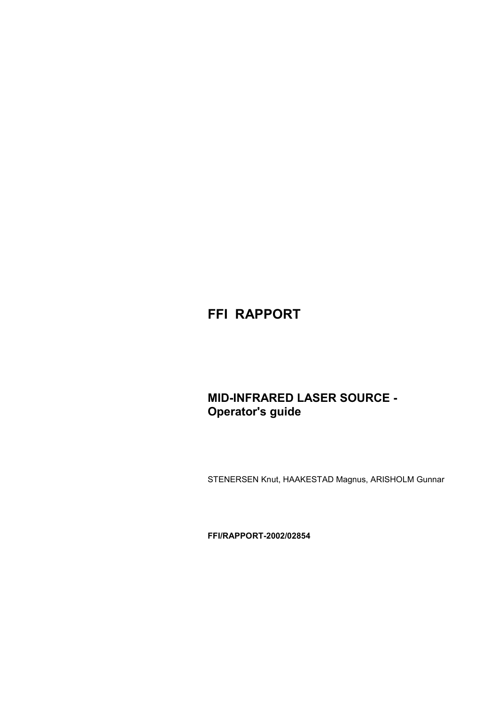# **FFI RAPPORT**

# **MID-INFRARED LASER SOURCE - Operator's guide**

STENERSEN Knut, HAAKESTAD Magnus, ARISHOLM Gunnar

**FFI/RAPPORT-2002/02854**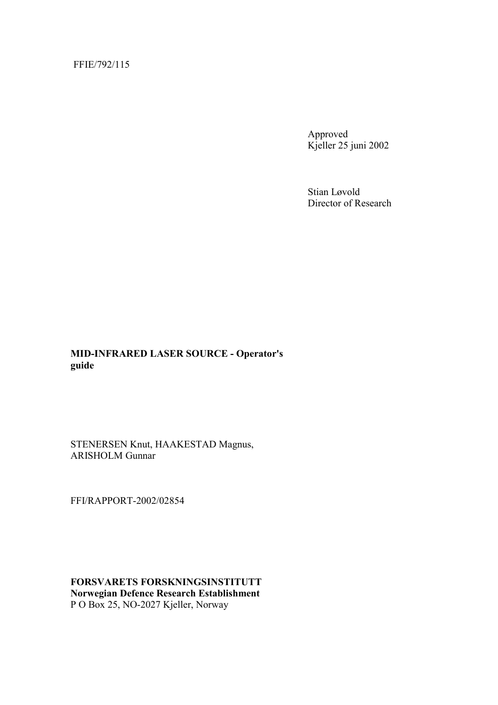#### FFIE/792/115

Approved Kjeller 25 juni 2002

Stian Løvold Director of Research

#### **MID-INFRARED LASER SOURCE - Operator's guide**

STENERSEN Knut, HAAKESTAD Magnus, ARISHOLM Gunnar

FFI/RAPPORT-2002/02854

**FORSVARETS FORSKNINGSINSTITUTT Norwegian Defence Research Establishment**  P O Box 25, NO-2027 Kjeller, Norway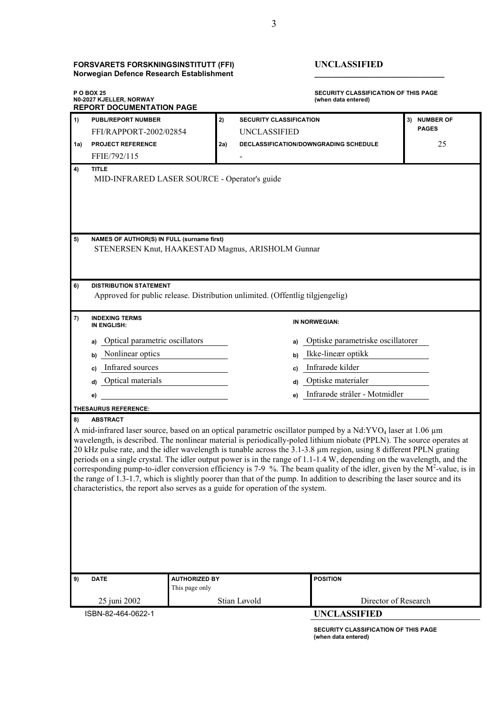#### **FORSVARETS FORSKNINGSINSTITUTT (FFI) UNCLASSIFIED Norwegian Defence Research Establishment \_\_\_\_\_\_\_\_\_\_\_\_\_\_\_\_\_\_\_\_\_\_\_\_\_\_\_\_\_\_\_**

| <b>POBOX 25</b><br>N0-2027 KJELLER, NORWAY<br><b>REPORT DOCUMENTATION PAGE</b>                                                                                                                                                                                                                                                                                                                                                                                                                                                                                                                                                                                                                                                                                                                                                                    |                                                                                                                                  |                                        | <b>SECURITY CLASSIFICATION OF THIS PAGE</b><br>(when data entered) |                                       |              |  |  |
|---------------------------------------------------------------------------------------------------------------------------------------------------------------------------------------------------------------------------------------------------------------------------------------------------------------------------------------------------------------------------------------------------------------------------------------------------------------------------------------------------------------------------------------------------------------------------------------------------------------------------------------------------------------------------------------------------------------------------------------------------------------------------------------------------------------------------------------------------|----------------------------------------------------------------------------------------------------------------------------------|----------------------------------------|--------------------------------------------------------------------|---------------------------------------|--------------|--|--|
| 1)                                                                                                                                                                                                                                                                                                                                                                                                                                                                                                                                                                                                                                                                                                                                                                                                                                                | <b>PUBL/REPORT NUMBER</b>                                                                                                        | 2)                                     | <b>SECURITY CLASSIFICATION</b>                                     |                                       | 3) NUMBER OF |  |  |
|                                                                                                                                                                                                                                                                                                                                                                                                                                                                                                                                                                                                                                                                                                                                                                                                                                                   | FFI/RAPPORT-2002/02854                                                                                                           |                                        | UNCLASSIFIED                                                       |                                       | <b>PAGES</b> |  |  |
| 1a)                                                                                                                                                                                                                                                                                                                                                                                                                                                                                                                                                                                                                                                                                                                                                                                                                                               | <b>PROJECT REFERENCE</b>                                                                                                         | 2a)                                    |                                                                    | DECLASSIFICATION/DOWNGRADING SCHEDULE | 25           |  |  |
|                                                                                                                                                                                                                                                                                                                                                                                                                                                                                                                                                                                                                                                                                                                                                                                                                                                   | FFIE/792/115                                                                                                                     |                                        |                                                                    |                                       |              |  |  |
| 4)                                                                                                                                                                                                                                                                                                                                                                                                                                                                                                                                                                                                                                                                                                                                                                                                                                                | <b>TITLE</b><br>MID-INFRARED LASER SOURCE - Operator's guide                                                                     |                                        |                                                                    |                                       |              |  |  |
| 5)<br>6)                                                                                                                                                                                                                                                                                                                                                                                                                                                                                                                                                                                                                                                                                                                                                                                                                                          | NAMES OF AUTHOR(S) IN FULL (surname first)<br>STENERSEN Knut, HAAKESTAD Magnus, ARISHOLM Gunnar<br><b>DISTRIBUTION STATEMENT</b> |                                        |                                                                    |                                       |              |  |  |
|                                                                                                                                                                                                                                                                                                                                                                                                                                                                                                                                                                                                                                                                                                                                                                                                                                                   | Approved for public release. Distribution unlimited. (Offentlig tilgjengelig)                                                    |                                        |                                                                    |                                       |              |  |  |
| 7)                                                                                                                                                                                                                                                                                                                                                                                                                                                                                                                                                                                                                                                                                                                                                                                                                                                | <b>INDEXING TERMS</b><br>IN ENGLISH:                                                                                             |                                        |                                                                    | IN NORWEGIAN:                         |              |  |  |
|                                                                                                                                                                                                                                                                                                                                                                                                                                                                                                                                                                                                                                                                                                                                                                                                                                                   | Optical parametric oscillators<br>a)                                                                                             |                                        | a)                                                                 | Optiske parametriske oscillatorer     |              |  |  |
|                                                                                                                                                                                                                                                                                                                                                                                                                                                                                                                                                                                                                                                                                                                                                                                                                                                   | Nonlinear optics<br>b)                                                                                                           |                                        | Ikke-lineær optikk<br>b)                                           |                                       |              |  |  |
|                                                                                                                                                                                                                                                                                                                                                                                                                                                                                                                                                                                                                                                                                                                                                                                                                                                   | Infrared sources                                                                                                                 |                                        | Infrarøde kilder<br>C)                                             |                                       |              |  |  |
|                                                                                                                                                                                                                                                                                                                                                                                                                                                                                                                                                                                                                                                                                                                                                                                                                                                   | C)<br>Optical materials                                                                                                          |                                        | Optiske materialer<br>d)                                           |                                       |              |  |  |
|                                                                                                                                                                                                                                                                                                                                                                                                                                                                                                                                                                                                                                                                                                                                                                                                                                                   | d)                                                                                                                               |                                        |                                                                    | Infrarøde stråler - Motmidler         |              |  |  |
|                                                                                                                                                                                                                                                                                                                                                                                                                                                                                                                                                                                                                                                                                                                                                                                                                                                   | e)                                                                                                                               |                                        |                                                                    | e)                                    |              |  |  |
| 8)                                                                                                                                                                                                                                                                                                                                                                                                                                                                                                                                                                                                                                                                                                                                                                                                                                                | THESAURUS REFERENCE:<br><b>ABSTRACT</b>                                                                                          |                                        |                                                                    |                                       |              |  |  |
| A mid-infrared laser source, based on an optical parametric oscillator pumped by a Nd:YVO <sub>4</sub> laser at 1.06 µm<br>wavelength, is described. The nonlinear material is periodically-poled lithium niobate (PPLN). The source operates at<br>20 kHz pulse rate, and the idler wavelength is tunable across the $3.1-3.8$ µm region, using 8 different PPLN grating<br>periods on a single crystal. The idler output power is in the range of 1.1-1.4 W, depending on the wavelength, and the<br>corresponding pump-to-idler conversion efficiency is 7-9 %. The beam quality of the idler, given by the $M^2$ -value, is in<br>the range of 1.3-1.7, which is slightly poorer than that of the pump. In addition to describing the laser source and its<br>characteristics, the report also serves as a guide for operation of the system. |                                                                                                                                  |                                        |                                                                    |                                       |              |  |  |
| 9)                                                                                                                                                                                                                                                                                                                                                                                                                                                                                                                                                                                                                                                                                                                                                                                                                                                | <b>DATE</b>                                                                                                                      | <b>AUTHORIZED BY</b><br>This page only |                                                                    | <b>POSITION</b>                       |              |  |  |
|                                                                                                                                                                                                                                                                                                                                                                                                                                                                                                                                                                                                                                                                                                                                                                                                                                                   | 25 juni 2002                                                                                                                     |                                        | Stian Løvold                                                       | Director of Research                  |              |  |  |
| ISBN-82-464-0622-1<br><b>UNCLASSIFIED</b>                                                                                                                                                                                                                                                                                                                                                                                                                                                                                                                                                                                                                                                                                                                                                                                                         |                                                                                                                                  |                                        |                                                                    |                                       |              |  |  |
|                                                                                                                                                                                                                                                                                                                                                                                                                                                                                                                                                                                                                                                                                                                                                                                                                                                   |                                                                                                                                  |                                        |                                                                    | SECURITY CLASSIFICATION OF THIS PAGE  |              |  |  |

**(when data entered)**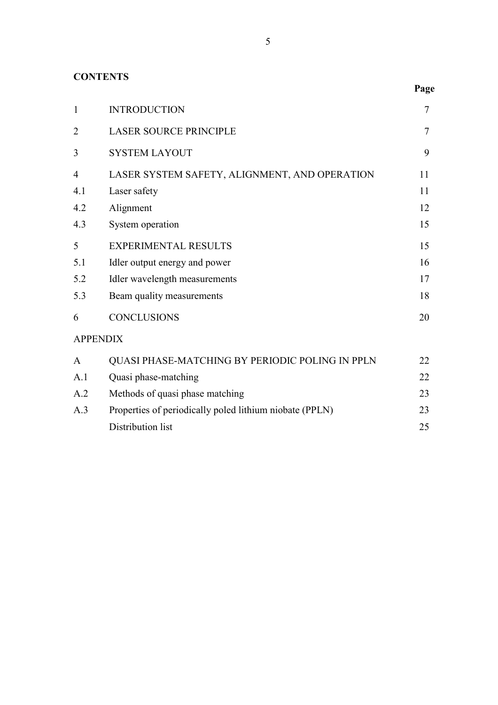## **CONTENTS**

| $\mathbf{1}$    | <b>INTRODUCTION</b>                                     | $\tau$ |
|-----------------|---------------------------------------------------------|--------|
| $\overline{2}$  | <b>LASER SOURCE PRINCIPLE</b>                           | $\tau$ |
| 3               | <b>SYSTEM LAYOUT</b>                                    | 9      |
| $\overline{4}$  | LASER SYSTEM SAFETY, ALIGNMENT, AND OPERATION           | 11     |
| 4.1             | Laser safety                                            | 11     |
| 4.2             | Alignment                                               | 12     |
| 4.3             | System operation                                        | 15     |
| 5               | <b>EXPERIMENTAL RESULTS</b>                             | 15     |
| 5.1             | Idler output energy and power                           | 16     |
| 5.2             | Idler wavelength measurements                           | 17     |
| 5.3             | Beam quality measurements                               | 18     |
| 6               | <b>CONCLUSIONS</b>                                      | 20     |
| <b>APPENDIX</b> |                                                         |        |
| $\mathsf{A}$    | QUASI PHASE-MATCHING BY PERIODIC POLING IN PPLN         | 22     |
| A.1             | Quasi phase-matching                                    | 22     |
| A.2             | Methods of quasi phase matching                         | 23     |
| A.3             | Properties of periodically poled lithium niobate (PPLN) | 23     |
|                 | Distribution list                                       | 25     |

**Page**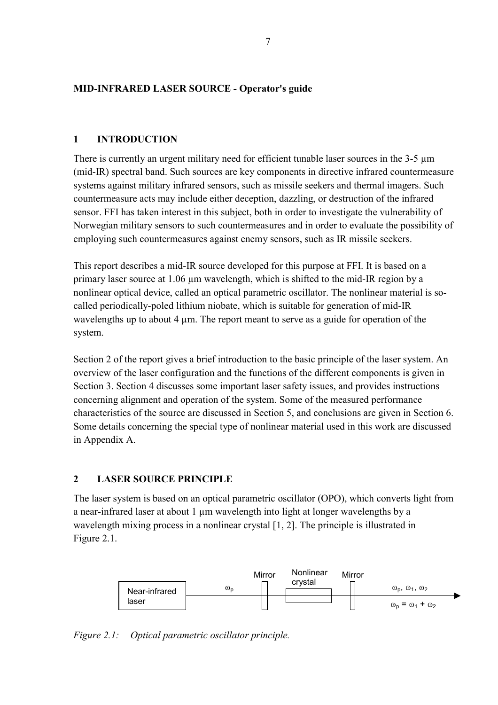#### <span id="page-8-0"></span>**MID-INFRARED LASER SOURCE - Operator's guide**

#### **1 INTRODUCTION**

There is currently an urgent military need for efficient tunable laser sources in the 3-5  $\mu$ m (mid-IR) spectral band. Such sources are key components in directive infrared countermeasure systems against military infrared sensors, such as missile seekers and thermal imagers. Such countermeasure acts may include either deception, dazzling, or destruction of the infrared sensor. FFI has taken interest in this subject, both in order to investigate the vulnerability of Norwegian military sensors to such countermeasures and in order to evaluate the possibility of employing such countermeasures against enemy sensors, such as IR missile seekers.

This report describes a mid-IR source developed for this purpose at FFI. It is based on a primary laser source at 1.06 µm wavelength, which is shifted to the mid-IR region by a nonlinear optical device, called an optical parametric oscillator. The nonlinear material is socalled periodically-poled lithium niobate, which is suitable for generation of mid-IR wavelengths up to about 4 µm. The report meant to serve as a guide for operation of the system.

Section 2 of the report gives a brief introduction to the basic principle of the laser system. An overview of the laser configuration and the functions of the different components is given in Section 3. Section 4 discusses some important laser safety issues, and provides instructions concerning alignment and operation of the system. Some of the measured performance characteristics of the source are discussed in Section 5, and conclusions are given in Section 6. Some details concerning the special type of nonlinear material used in this work are discussed in Appendix A.

### **2 LASER SOURCE PRINCIPLE**

The laser system is based on an optical parametric oscillator (OPO), which converts light from a near-infrared laser at about 1  $\mu$ m wavelength into light at longer wavelengths by a wavelength mixing process in a nonlinear crystal [1, 2]. The principle is illustrated in Figure 2.1.



*Figure 2.1: Optical parametric oscillator principle.*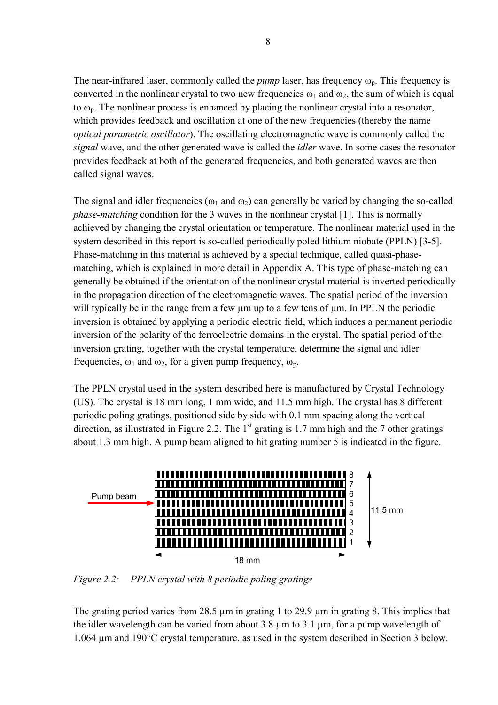The near-infrared laser, commonly called the *pump* laser, has frequency  $\omega_p$ . This frequency is converted in the nonlinear crystal to two new frequencies  $\omega_1$  and  $\omega_2$ , the sum of which is equal to  $\omega_p$ . The nonlinear process is enhanced by placing the nonlinear crystal into a resonator, which provides feedback and oscillation at one of the new frequencies (thereby the name *optical parametric oscillator*). The oscillating electromagnetic wave is commonly called the *signal* wave, and the other generated wave is called the *idler* wave. In some cases the resonator provides feedback at both of the generated frequencies, and both generated waves are then called signal waves.

The signal and idler frequencies ( $\omega_1$  and  $\omega_2$ ) can generally be varied by changing the so-called *phase-matching* condition for the 3 waves in the nonlinear crystal [1]. This is normally achieved by changing the crystal orientation or temperature. The nonlinear material used in the system described in this report is so-called periodically poled lithium niobate (PPLN) [3-5]. Phase-matching in this material is achieved by a special technique, called quasi-phasematching, which is explained in more detail in Appendix A. This type of phase-matching can generally be obtained if the orientation of the nonlinear crystal material is inverted periodically in the propagation direction of the electromagnetic waves. The spatial period of the inversion will typically be in the range from a few um up to a few tens of um. In PPLN the periodic inversion is obtained by applying a periodic electric field, which induces a permanent periodic inversion of the polarity of the ferroelectric domains in the crystal. The spatial period of the inversion grating, together with the crystal temperature, determine the signal and idler frequencies,  $\omega_1$  and  $\omega_2$ , for a given pump frequency,  $\omega_{\rm n}$ .

The PPLN crystal used in the system described here is manufactured by Crystal Technology (US). The crystal is 18 mm long, 1 mm wide, and 11.5 mm high. The crystal has 8 different periodic poling gratings, positioned side by side with 0.1 mm spacing along the vertical direction, as illustrated in Figure 2.2. The  $1<sup>st</sup>$  grating is 1.7 mm high and the 7 other gratings about 1.3 mm high. A pump beam aligned to hit grating number 5 is indicated in the figure.



*Figure 2.2: PPLN crystal with 8 periodic poling gratings* 

The grating period varies from 28.5 µm in grating 1 to 29.9 µm in grating 8. This implies that the idler wavelength can be varied from about 3.8  $\mu$ m to 3.1  $\mu$ m, for a pump wavelength of 1.064 µm and 190°C crystal temperature, as used in the system described in Section 3 below.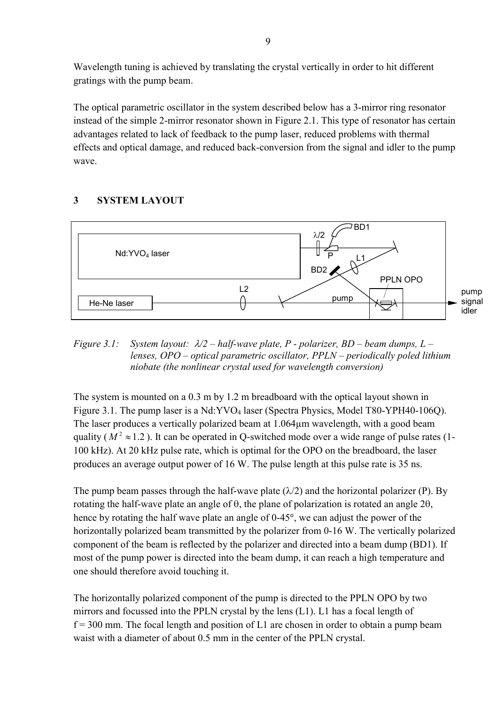<span id="page-10-0"></span>Wavelength tuning is achieved by translating the crystal vertically in order to hit different gratings with the pump beam.

The optical parametric oscillator in the system described below has a 3-mirror ring resonator instead of the simple 2-mirror resonator shown in Figure 2.1. This type of resonator has certain advantages related to lack of feedback to the pump laser, reduced problems with thermal effects and optical damage, and reduced back-conversion from the signal and idler to the pump wave.

## **3 SYSTEM LAYOUT**



*Figure 3.1: System layout: /2 – half-wave plate, P - polarizer, BD – beam dumps, L – lenses, OPO – optical parametric oscillator, PPLN – periodically poled lithium niobate (the nonlinear crystal used for wavelength conversion)*

The system is mounted on a 0.3 m by 1.2 m breadboard with the optical layout shown in Figure 3.1. The pump laser is a  $Nd:YVO<sub>4</sub>$  laser (Spectra Physics, Model T80-YPH40-106O). The laser produces a vertically polarized beam at 1.064µm wavelength, with a good beam quality ( $M^2 \approx 1.2$ ). It can be operated in Q-switched mode over a wide range of pulse rates (1-100 kHz). At 20 kHz pulse rate, which is optimal for the OPO on the breadboard, the laser produces an average output power of 16 W. The pulse length at this pulse rate is 35 ns.

The pump beam passes through the half-wave plate  $(\lambda/2)$  and the horizontal polarizer (P). By rotating the half-wave plate an angle of  $\theta$ , the plane of polarization is rotated an angle 2 $\theta$ , hence by rotating the half wave plate an angle of 0-45°, we can adjust the power of the horizontally polarized beam transmitted by the polarizer from 0-16 W. The vertically polarized component of the beam is reflected by the polarizer and directed into a beam dump (BD1). If most of the pump power is directed into the beam dump, it can reach a high temperature and one should therefore avoid touching it.

The horizontally polarized component of the pump is directed to the PPLN OPO by two mirrors and focussed into the PPLN crystal by the lens (L1). L1 has a focal length of  $f = 300$  mm. The focal length and position of L1 are chosen in order to obtain a pump beam waist with a diameter of about 0.5 mm in the center of the PPLN crystal.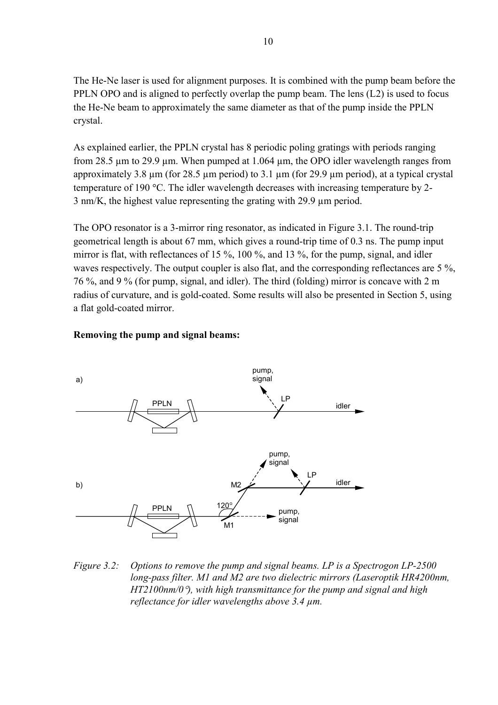The He-Ne laser is used for alignment purposes. It is combined with the pump beam before the PPLN OPO and is aligned to perfectly overlap the pump beam. The lens (L2) is used to focus the He-Ne beam to approximately the same diameter as that of the pump inside the PPLN crystal.

As explained earlier, the PPLN crystal has 8 periodic poling gratings with periods ranging from 28.5 µm to 29.9 µm. When pumped at 1.064 µm, the OPO idler wavelength ranges from approximately 3.8  $\mu$ m (for 28.5  $\mu$ m period) to 3.1  $\mu$ m (for 29.9  $\mu$ m period), at a typical crystal temperature of 190 °C. The idler wavelength decreases with increasing temperature by 2-3 nm/K, the highest value representing the grating with 29.9 µm period.

The OPO resonator is a 3-mirror ring resonator, as indicated in Figure 3.1. The round-trip geometrical length is about 67 mm, which gives a round-trip time of 0.3 ns. The pump input mirror is flat, with reflectances of 15 %, 100 %, and 13 %, for the pump, signal, and idler waves respectively. The output coupler is also flat, and the corresponding reflectances are 5 %, 76 %, and 9 % (for pump, signal, and idler). The third (folding) mirror is concave with 2 m radius of curvature, and is gold-coated. Some results will also be presented in Section 5, using a flat gold-coated mirror.

#### **Removing the pump and signal beams:**



*Figure 3.2: Options to remove the pump and signal beams. LP is a Spectrogon LP-2500 long-pass filter. M1 and M2 are two dielectric mirrors (Laseroptik HR4200nm, HT2100nm/0*-*), with high transmittance for the pump and signal and high reflectance for idler wavelengths above 3.4 µm.*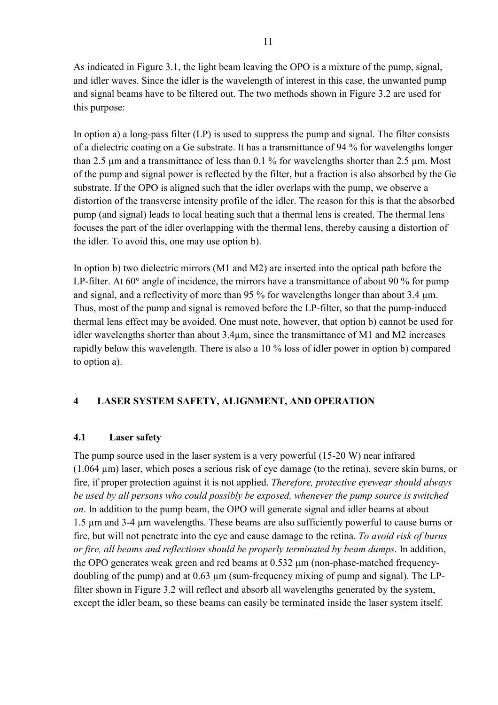<span id="page-12-0"></span>As indicated in Figure 3.1, the light beam leaving the OPO is a mixture of the pump, signal, and idler waves. Since the idler is the wavelength of interest in this case, the unwanted pump and signal beams have to be filtered out. The two methods shown in Figure 3.2 are used for this purpose:

In option a) a long-pass filter (LP) is used to suppress the pump and signal. The filter consists of a dielectric coating on a Ge substrate. It has a transmittance of 94 % for wavelengths longer than 2.5 µm and a transmittance of less than 0.1 % for wavelengths shorter than 2.5 µm. Most of the pump and signal power is reflected by the filter, but a fraction is also absorbed by the Ge substrate. If the OPO is aligned such that the idler overlaps with the pump, we observe a distortion of the transverse intensity profile of the idler. The reason for this is that the absorbed pump (and signal) leads to local heating such that a thermal lens is created. The thermal lens focuses the part of the idler overlapping with the thermal lens, thereby causing a distortion of the idler. To avoid this, one may use option b).

In option b) two dielectric mirrors (M1 and M2) are inserted into the optical path before the LP-filter. At  $60^{\circ}$  angle of incidence, the mirrors have a transmittance of about 90 % for pump and signal, and a reflectivity of more than 95 % for wavelengths longer than about 3.4  $\mu$ m. Thus, most of the pump and signal is removed before the LP-filter, so that the pump-induced thermal lens effect may be avoided. One must note, however, that option b) cannot be used for idler wavelengths shorter than about 3.4µm, since the transmittance of M1 and M2 increases rapidly below this wavelength. There is also a 10 % loss of idler power in option b) compared to option a).

### **4 LASER SYSTEM SAFETY, ALIGNMENT, AND OPERATION**

#### **4.1 Laser safety**

The pump source used in the laser system is a very powerful (15-20 W) near infrared (1.064 µm) laser, which poses a serious risk of eye damage (to the retina), severe skin burns, or fire, if proper protection against it is not applied. *Therefore, protective eyewear should always be used by all persons who could possibly be exposed, whenever the pump source is switched on*. In addition to the pump beam, the OPO will generate signal and idler beams at about 1.5 µm and 3-4 µm wavelengths. These beams are also sufficiently powerful to cause burns or fire, but will not penetrate into the eye and cause damage to the retina. *To avoid risk of burns or fire, all beams and reflections should be properly terminated by beam dumps*. In addition, the OPO generates weak green and red beams at 0.532 µm (non-phase-matched frequencydoubling of the pump) and at 0.63 µm (sum-frequency mixing of pump and signal). The LPfilter shown in Figure 3.2 will reflect and absorb all wavelengths generated by the system, except the idler beam, so these beams can easily be terminated inside the laser system itself.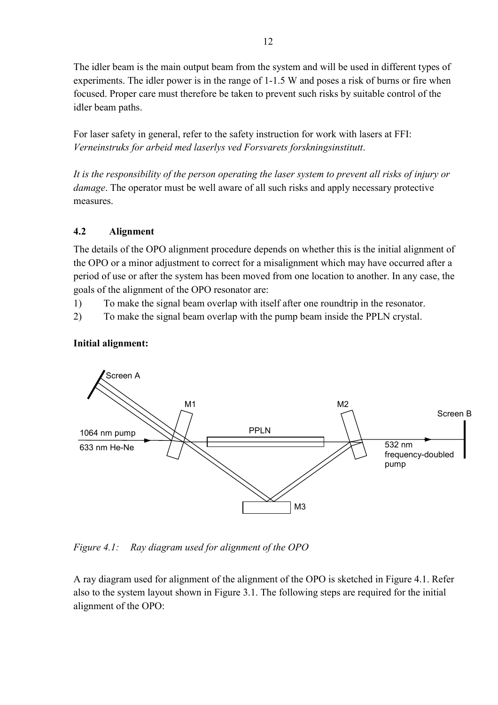<span id="page-13-0"></span>The idler beam is the main output beam from the system and will be used in different types of experiments. The idler power is in the range of 1-1.5 W and poses a risk of burns or fire when focused. Proper care must therefore be taken to prevent such risks by suitable control of the idler beam paths.

For laser safety in general, refer to the safety instruction for work with lasers at FFI: *Verneinstruks for arbeid med laserlys ved Forsvarets forskningsinstitutt*.

*It is the responsibility of the person operating the laser system to prevent all risks of injury or damage*. The operator must be well aware of all such risks and apply necessary protective measures.

### **4.2 Alignment**

The details of the OPO alignment procedure depends on whether this is the initial alignment of the OPO or a minor adjustment to correct for a misalignment which may have occurred after a period of use or after the system has been moved from one location to another. In any case, the goals of the alignment of the OPO resonator are:

- 1) To make the signal beam overlap with itself after one roundtrip in the resonator.
- 2) To make the signal beam overlap with the pump beam inside the PPLN crystal.

#### **Initial alignment:**



*Figure 4.1: Ray diagram used for alignment of the OPO* 

A ray diagram used for alignment of the alignment of the OPO is sketched in Figure 4.1. Refer also to the system layout shown in Figure 3.1. The following steps are required for the initial alignment of the OPO: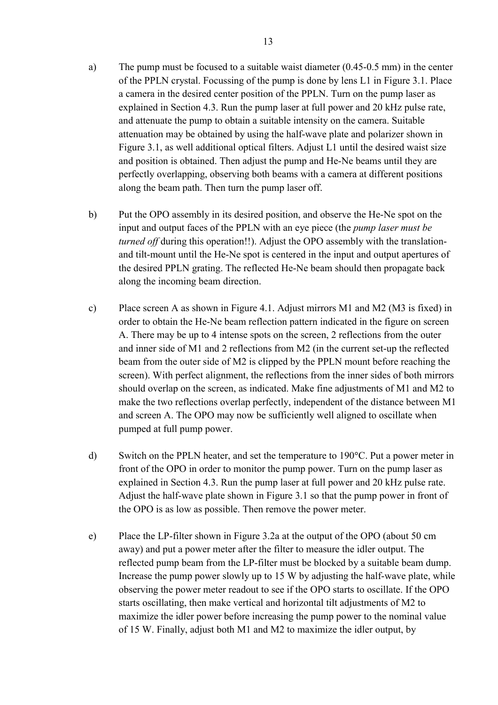- a) The pump must be focused to a suitable waist diameter (0.45-0.5 mm) in the center of the PPLN crystal. Focussing of the pump is done by lens L1 in Figure 3.1. Place a camera in the desired center position of the PPLN. Turn on the pump laser as explained in Section 4.3. Run the pump laser at full power and 20 kHz pulse rate, and attenuate the pump to obtain a suitable intensity on the camera. Suitable attenuation may be obtained by using the half-wave plate and polarizer shown in Figure 3.1, as well additional optical filters. Adjust L1 until the desired waist size and position is obtained. Then adjust the pump and He-Ne beams until they are perfectly overlapping, observing both beams with a camera at different positions along the beam path. Then turn the pump laser off.
- b) Put the OPO assembly in its desired position, and observe the He-Ne spot on the input and output faces of the PPLN with an eye piece (the *pump laser must be turned off* during this operation!!). Adjust the OPO assembly with the translationand tilt-mount until the He-Ne spot is centered in the input and output apertures of the desired PPLN grating. The reflected He-Ne beam should then propagate back along the incoming beam direction.
- c) Place screen A as shown in Figure 4.1. Adjust mirrors M1 and M2 (M3 is fixed) in order to obtain the He-Ne beam reflection pattern indicated in the figure on screen A. There may be up to 4 intense spots on the screen, 2 reflections from the outer and inner side of M1 and 2 reflections from M2 (in the current set-up the reflected beam from the outer side of M2 is clipped by the PPLN mount before reaching the screen). With perfect alignment, the reflections from the inner sides of both mirrors should overlap on the screen, as indicated. Make fine adjustments of M1 and M2 to make the two reflections overlap perfectly, independent of the distance between M1 and screen A. The OPO may now be sufficiently well aligned to oscillate when pumped at full pump power.
- d) Switch on the PPLN heater, and set the temperature to 190°C. Put a power meter in front of the OPO in order to monitor the pump power. Turn on the pump laser as explained in Section 4.3. Run the pump laser at full power and 20 kHz pulse rate. Adjust the half-wave plate shown in Figure 3.1 so that the pump power in front of the OPO is as low as possible. Then remove the power meter.
- e) Place the LP-filter shown in Figure 3.2a at the output of the OPO (about 50 cm away) and put a power meter after the filter to measure the idler output. The reflected pump beam from the LP-filter must be blocked by a suitable beam dump. Increase the pump power slowly up to 15 W by adjusting the half-wave plate, while observing the power meter readout to see if the OPO starts to oscillate. If the OPO starts oscillating, then make vertical and horizontal tilt adjustments of M2 to maximize the idler power before increasing the pump power to the nominal value of 15 W. Finally, adjust both M1 and M2 to maximize the idler output, by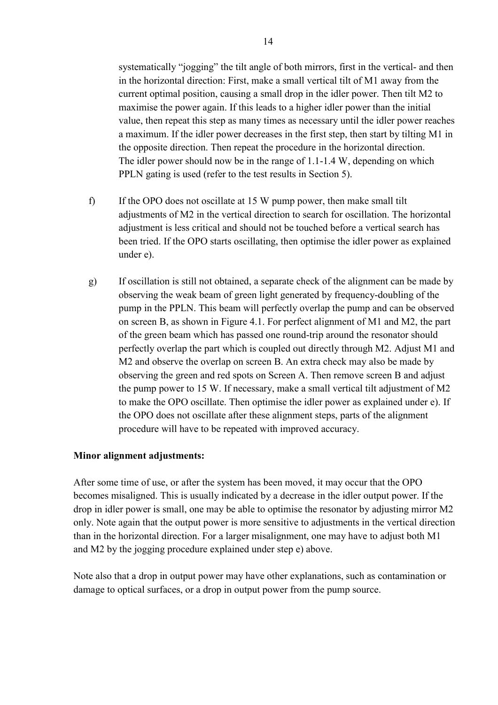systematically "jogging" the tilt angle of both mirrors, first in the vertical- and then in the horizontal direction: First, make a small vertical tilt of M1 away from the current optimal position, causing a small drop in the idler power. Then tilt M2 to maximise the power again. If this leads to a higher idler power than the initial value, then repeat this step as many times as necessary until the idler power reaches a maximum. If the idler power decreases in the first step, then start by tilting M1 in the opposite direction. Then repeat the procedure in the horizontal direction. The idler power should now be in the range of 1.1-1.4 W, depending on which PPLN gating is used (refer to the test results in Section 5).

- f) If the OPO does not oscillate at 15 W pump power, then make small tilt adjustments of M2 in the vertical direction to search for oscillation. The horizontal adjustment is less critical and should not be touched before a vertical search has been tried. If the OPO starts oscillating, then optimise the idler power as explained under e).
- g) If oscillation is still not obtained, a separate check of the alignment can be made by observing the weak beam of green light generated by frequency-doubling of the pump in the PPLN. This beam will perfectly overlap the pump and can be observed on screen B, as shown in Figure 4.1. For perfect alignment of M1 and M2, the part of the green beam which has passed one round-trip around the resonator should perfectly overlap the part which is coupled out directly through M2. Adjust M1 and M2 and observe the overlap on screen B. An extra check may also be made by observing the green and red spots on Screen A. Then remove screen B and adjust the pump power to 15 W. If necessary, make a small vertical tilt adjustment of M2 to make the OPO oscillate. Then optimise the idler power as explained under e). If the OPO does not oscillate after these alignment steps, parts of the alignment procedure will have to be repeated with improved accuracy.

#### **Minor alignment adjustments:**

After some time of use, or after the system has been moved, it may occur that the OPO becomes misaligned. This is usually indicated by a decrease in the idler output power. If the drop in idler power is small, one may be able to optimise the resonator by adjusting mirror M2 only. Note again that the output power is more sensitive to adjustments in the vertical direction than in the horizontal direction. For a larger misalignment, one may have to adjust both M1 and M2 by the jogging procedure explained under step e) above.

Note also that a drop in output power may have other explanations, such as contamination or damage to optical surfaces, or a drop in output power from the pump source.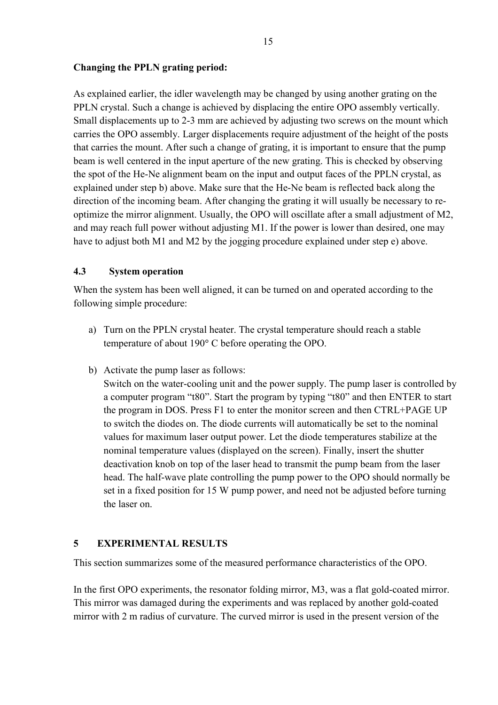#### <span id="page-16-0"></span>**Changing the PPLN grating period:**

As explained earlier, the idler wavelength may be changed by using another grating on the PPLN crystal. Such a change is achieved by displacing the entire OPO assembly vertically. Small displacements up to 2-3 mm are achieved by adjusting two screws on the mount which carries the OPO assembly. Larger displacements require adjustment of the height of the posts that carries the mount. After such a change of grating, it is important to ensure that the pump beam is well centered in the input aperture of the new grating. This is checked by observing the spot of the He-Ne alignment beam on the input and output faces of the PPLN crystal, as explained under step b) above. Make sure that the He-Ne beam is reflected back along the direction of the incoming beam. After changing the grating it will usually be necessary to reoptimize the mirror alignment. Usually, the OPO will oscillate after a small adjustment of M2, and may reach full power without adjusting M1. If the power is lower than desired, one may have to adjust both M1 and M2 by the jogging procedure explained under step e) above.

#### **4.3 System operation**

When the system has been well aligned, it can be turned on and operated according to the following simple procedure:

- a) Turn on the PPLN crystal heater. The crystal temperature should reach a stable temperature of about 190° C before operating the OPO.
- b) Activate the pump laser as follows:

Switch on the water-cooling unit and the power supply. The pump laser is controlled by a computer program "t80". Start the program by typing "t80" and then ENTER to start the program in DOS. Press F1 to enter the monitor screen and then CTRL+PAGE UP to switch the diodes on. The diode currents will automatically be set to the nominal values for maximum laser output power. Let the diode temperatures stabilize at the nominal temperature values (displayed on the screen). Finally, insert the shutter deactivation knob on top of the laser head to transmit the pump beam from the laser head. The half-wave plate controlling the pump power to the OPO should normally be set in a fixed position for 15 W pump power, and need not be adjusted before turning the laser on.

### **5 EXPERIMENTAL RESULTS**

This section summarizes some of the measured performance characteristics of the OPO.

In the first OPO experiments, the resonator folding mirror, M3, was a flat gold-coated mirror. This mirror was damaged during the experiments and was replaced by another gold-coated mirror with 2 m radius of curvature. The curved mirror is used in the present version of the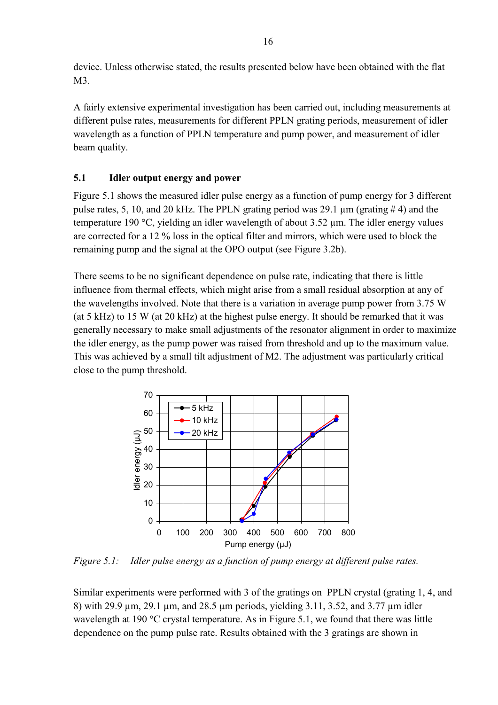<span id="page-17-0"></span>device. Unless otherwise stated, the results presented below have been obtained with the flat M3.

A fairly extensive experimental investigation has been carried out, including measurements at different pulse rates, measurements for different PPLN grating periods, measurement of idler wavelength as a function of PPLN temperature and pump power, and measurement of idler beam quality.

### **5.1 Idler output energy and power**

Figure 5.1 shows the measured idler pulse energy as a function of pump energy for 3 different pulse rates, 5, 10, and 20 kHz. The PPLN grating period was 29.1 µm (grating # 4) and the temperature 190 °C, yielding an idler wavelength of about  $3.52 \mu m$ . The idler energy values are corrected for a 12 % loss in the optical filter and mirrors, which were used to block the remaining pump and the signal at the OPO output (see Figure 3.2b).

There seems to be no significant dependence on pulse rate, indicating that there is little influence from thermal effects, which might arise from a small residual absorption at any of the wavelengths involved. Note that there is a variation in average pump power from 3.75 W (at 5 kHz) to 15 W (at 20 kHz) at the highest pulse energy. It should be remarked that it was generally necessary to make small adjustments of the resonator alignment in order to maximize the idler energy, as the pump power was raised from threshold and up to the maximum value. This was achieved by a small tilt adjustment of M2. The adjustment was particularly critical close to the pump threshold.



*Figure 5.1: Idler pulse energy as a function of pump energy at different pulse rates.* 

Similar experiments were performed with 3 of the gratings on PPLN crystal (grating 1, 4, and 8) with 29.9 µm, 29.1 µm, and 28.5 µm periods, yielding 3.11, 3.52, and 3.77 µm idler wavelength at 190 °C crystal temperature. As in Figure 5.1, we found that there was little dependence on the pump pulse rate. Results obtained with the 3 gratings are shown in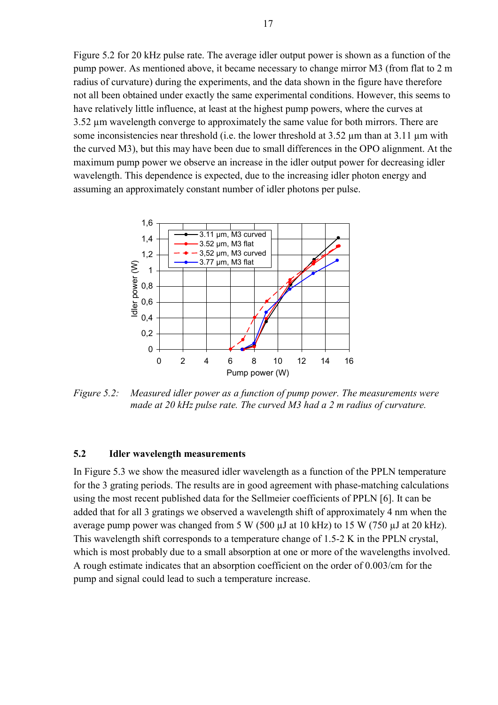<span id="page-18-0"></span>Figure 5.2 for 20 kHz pulse rate. The average idler output power is shown as a function of the pump power. As mentioned above, it became necessary to change mirror M3 (from flat to 2 m radius of curvature) during the experiments, and the data shown in the figure have therefore not all been obtained under exactly the same experimental conditions. However, this seems to have relatively little influence, at least at the highest pump powers, where the curves at 3.52 µm wavelength converge to approximately the same value for both mirrors. There are some inconsistencies near threshold (i.e. the lower threshold at 3.52 µm than at 3.11 µm with the curved M3), but this may have been due to small differences in the OPO alignment. At the maximum pump power we observe an increase in the idler output power for decreasing idler wavelength. This dependence is expected, due to the increasing idler photon energy and assuming an approximately constant number of idler photons per pulse.



*Figure 5.2: Measured idler power as a function of pump power. The measurements were made at 20 kHz pulse rate. The curved M3 had a 2 m radius of curvature.* 

#### **5.2 Idler wavelength measurements**

In Figure 5.3 we show the measured idler wavelength as a function of the PPLN temperature for the 3 grating periods. The results are in good agreement with phase-matching calculations using the most recent published data for the Sellmeier coefficients of PPLN [6]. It can be added that for all 3 gratings we observed a wavelength shift of approximately 4 nm when the average pump power was changed from 5 W (500 µJ at 10 kHz) to 15 W (750 µJ at 20 kHz). This wavelength shift corresponds to a temperature change of 1.5-2 K in the PPLN crystal, which is most probably due to a small absorption at one or more of the wavelengths involved. A rough estimate indicates that an absorption coefficient on the order of 0.003/cm for the pump and signal could lead to such a temperature increase.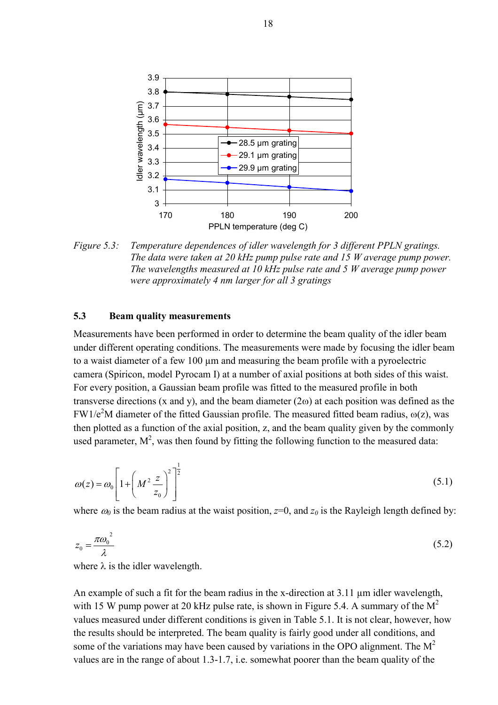<span id="page-19-0"></span>

*Figure 5.3: Temperature dependences of idler wavelength for 3 different PPLN gratings. The data were taken at 20 kHz pump pulse rate and 15 W average pump power. The wavelengths measured at 10 kHz pulse rate and 5 W average pump power were approximately 4 nm larger for all 3 gratings*

#### **5.3 Beam quality measurements**

Measurements have been performed in order to determine the beam quality of the idler beam under different operating conditions. The measurements were made by focusing the idler beam to a waist diameter of a few 100 µm and measuring the beam profile with a pyroelectric camera (Spiricon, model Pyrocam I) at a number of axial positions at both sides of this waist. For every position, a Gaussian beam profile was fitted to the measured profile in both transverse directions (x and y), and the beam diameter (2 $\omega$ ) at each position was defined as the FW1/e<sup>2</sup>M diameter of the fitted Gaussian profile. The measured fitted beam radius,  $\omega(z)$ , was then plotted as a function of the axial position, z, and the beam quality given by the commonly used parameter,  $M^2$ , was then found by fitting the following function to the measured data:

$$
\omega(z) = \omega_0 \left[ 1 + \left( M^2 \frac{z}{z_0} \right)^2 \right]^{\frac{1}{2}} \tag{5.1}
$$

where  $\omega_0$  is the beam radius at the waist position,  $z=0$ , and  $z_0$  is the Rayleigh length defined by:

$$
z_0 = \frac{\pi \omega_0^2}{\lambda} \tag{5.2}
$$

where  $\lambda$  is the idler wavelength.

An example of such a fit for the beam radius in the x-direction at 3.11  $\mu$ m idler wavelength, with 15 W pump power at 20 kHz pulse rate, is shown in Figure 5.4. A summary of the  $M^2$ values measured under different conditions is given in Table 5.1. It is not clear, however, how the results should be interpreted. The beam quality is fairly good under all conditions, and some of the variations may have been caused by variations in the OPO alignment. The  $M<sup>2</sup>$ values are in the range of about 1.3-1.7, i.e. somewhat poorer than the beam quality of the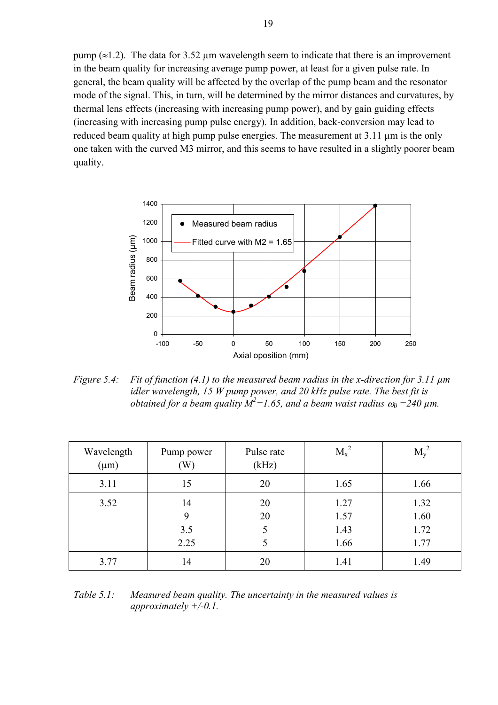pump ( $\approx$ 1.2). The data for 3.52 µm wavelength seem to indicate that there is an improvement in the beam quality for increasing average pump power, at least for a given pulse rate. In general, the beam quality will be affected by the overlap of the pump beam and the resonator mode of the signal. This, in turn, will be determined by the mirror distances and curvatures, by thermal lens effects (increasing with increasing pump power), and by gain guiding effects (increasing with increasing pump pulse energy). In addition, back-conversion may lead to reduced beam quality at high pump pulse energies. The measurement at 3.11 um is the only one taken with the curved M3 mirror, and this seems to have resulted in a slightly poorer beam quality.



*Figure 5.4: Fit of function (4.1) to the measured beam radius in the x-direction for 3.11 µm idler wavelength, 15 W pump power, and 20 kHz pulse rate. The best fit is obtained for a beam quality*  $M^2 = 1.65$ , and a beam waist radius  $\omega_0 = 240$   $\mu$ m.

| Wavelength<br>$(\mu m)$ | Pump power<br>(W)      | Pulse rate<br>(kHz) | $M_x^2$                      | $M_{\rm v}{}^2$              |
|-------------------------|------------------------|---------------------|------------------------------|------------------------------|
| 3.11                    | 15                     | 20                  | 1.65                         | 1.66                         |
| 3.52                    | 14<br>9<br>3.5<br>2.25 | 20<br>20            | 1.27<br>1.57<br>1.43<br>1.66 | 1.32<br>1.60<br>1.72<br>1.77 |
| 3.77                    | 14                     | 20                  | 1.41                         | 1.49                         |

*Table 5.1: Measured beam quality. The uncertainty in the measured values is approximately +/-0.1.*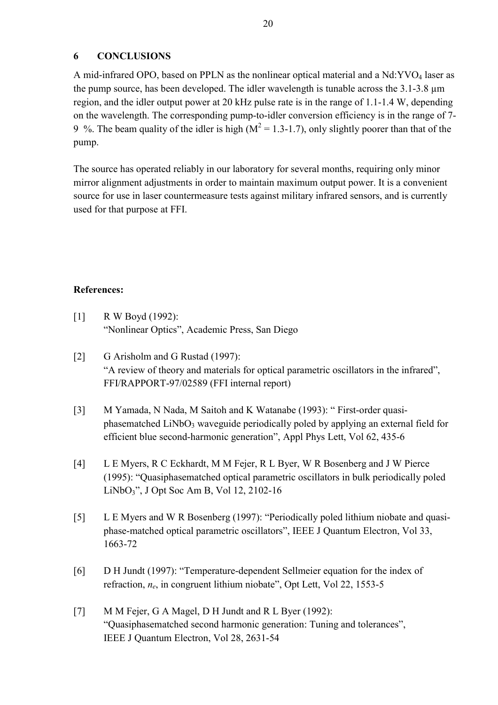#### <span id="page-21-0"></span>**6 CONCLUSIONS**

A mid-infrared OPO, based on PPLN as the nonlinear optical material and a Nd:YVO<sub>4</sub> laser as the pump source, has been developed. The idler wavelength is tunable across the 3.1-3.8 um region, and the idler output power at 20 kHz pulse rate is in the range of 1.1-1.4 W, depending on the wavelength. The corresponding pump-to-idler conversion efficiency is in the range of 7- 9 %. The beam quality of the idler is high ( $M^2 = 1.3$ -1.7), only slightly poorer than that of the pump.

The source has operated reliably in our laboratory for several months, requiring only minor mirror alignment adjustments in order to maintain maximum output power. It is a convenient source for use in laser countermeasure tests against military infrared sensors, and is currently used for that purpose at FFI.

#### **References:**

- [1] R W Boyd (1992): "Nonlinear Optics", Academic Press, San Diego
- [2] G Arisholm and G Rustad (1997): "A review of theory and materials for optical parametric oscillators in the infrared", FFI/RAPPORT-97/02589 (FFI internal report)
- [3] M Yamada, N Nada, M Saitoh and K Watanabe (1993): " First-order quasiphasematched LiNbO<sub>3</sub> waveguide periodically poled by applying an external field for efficient blue second-harmonic generation", Appl Phys Lett, Vol 62, 435-6
- [4] L E Myers, R C Eckhardt, M M Fejer, R L Byer, W R Bosenberg and J W Pierce (1995): "Quasiphasematched optical parametric oscillators in bulk periodically poled LiNbO3", J Opt Soc Am B, Vol 12, 2102-16
- [5] L E Myers and W R Bosenberg (1997): "Periodically poled lithium niobate and quasiphase-matched optical parametric oscillators", IEEE J Quantum Electron, Vol 33, 1663-72
- [6] D H Jundt (1997): "Temperature-dependent Sellmeier equation for the index of refraction, *ne*, in congruent lithium niobate", Opt Lett, Vol 22, 1553-5
- [7] M M Fejer, G A Magel, D H Jundt and R L Byer (1992): "Quasiphasematched second harmonic generation: Tuning and tolerances", IEEE J Quantum Electron, Vol 28, 2631-54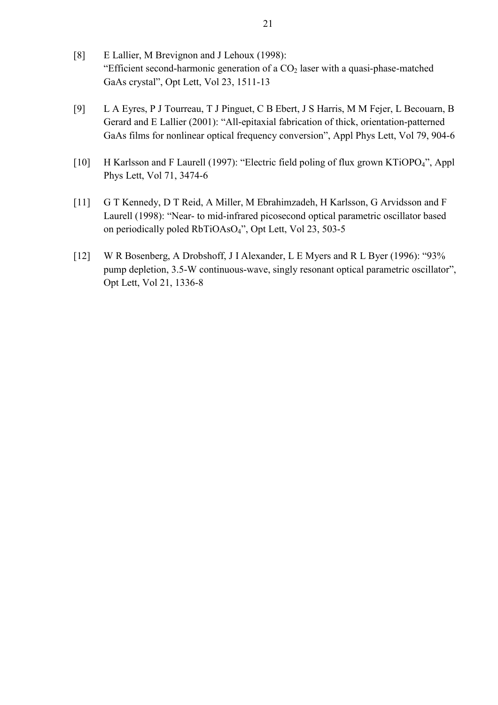- [8] E Lallier, M Brevignon and J Lehoux (1998): "Efficient second-harmonic generation of a  $CO<sub>2</sub>$  laser with a quasi-phase-matched GaAs crystal", Opt Lett, Vol 23, 1511-13
- [9] L A Eyres, P J Tourreau, T J Pinguet, C B Ebert, J S Harris, M M Fejer, L Becouarn, B Gerard and E Lallier (2001): "All-epitaxial fabrication of thick, orientation-patterned GaAs films for nonlinear optical frequency conversion", Appl Phys Lett, Vol 79, 904-6
- [10] H Karlsson and F Laurell (1997): "Electric field poling of flux grown KTiOPO4", Appl Phys Lett, Vol 71, 3474-6
- [11] G T Kennedy, D T Reid, A Miller, M Ebrahimzadeh, H Karlsson, G Arvidsson and F Laurell (1998): "Near- to mid-infrared picosecond optical parametric oscillator based on periodically poled RbTiOAsO4", Opt Lett, Vol 23, 503-5
- [12] W R Bosenberg, A Drobshoff, J I Alexander, L E Myers and R L Byer (1996): "93% pump depletion, 3.5-W continuous-wave, singly resonant optical parametric oscillator", Opt Lett, Vol 21, 1336-8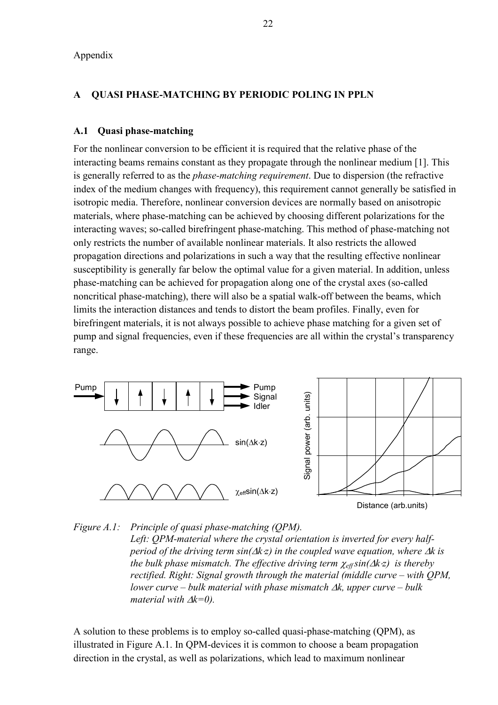<span id="page-23-0"></span>Appendix

#### **A QUASI PHASE-MATCHING BY PERIODIC POLING IN PPLN**

#### **A.1 Quasi phase-matching**

For the nonlinear conversion to be efficient it is required that the relative phase of the interacting beams remains constant as they propagate through the nonlinear medium [1]. This is generally referred to as the *phase-matching requirement*. Due to dispersion (the refractive index of the medium changes with frequency), this requirement cannot generally be satisfied in isotropic media. Therefore, nonlinear conversion devices are normally based on anisotropic materials, where phase-matching can be achieved by choosing different polarizations for the interacting waves; so-called birefringent phase-matching. This method of phase-matching not only restricts the number of available nonlinear materials. It also restricts the allowed propagation directions and polarizations in such a way that the resulting effective nonlinear susceptibility is generally far below the optimal value for a given material. In addition, unless phase-matching can be achieved for propagation along one of the crystal axes (so-called noncritical phase-matching), there will also be a spatial walk-off between the beams, which limits the interaction distances and tends to distort the beam profiles. Finally, even for birefringent materials, it is not always possible to achieve phase matching for a given set of pump and signal frequencies, even if these frequencies are all within the crystal's transparency range.





A solution to these problems is to employ so-called quasi-phase-matching (QPM), as illustrated in Figure A.1. In QPM-devices it is common to choose a beam propagation direction in the crystal, as well as polarizations, which lead to maximum nonlinear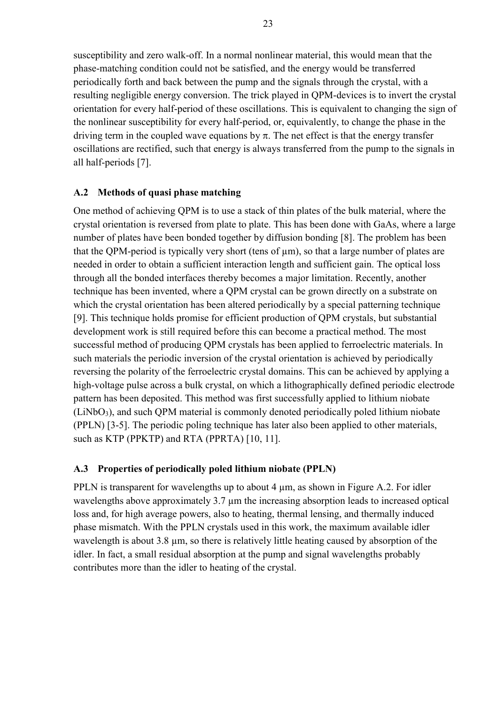<span id="page-24-0"></span>susceptibility and zero walk-off. In a normal nonlinear material, this would mean that the phase-matching condition could not be satisfied, and the energy would be transferred periodically forth and back between the pump and the signals through the crystal, with a resulting negligible energy conversion. The trick played in QPM-devices is to invert the crystal orientation for every half-period of these oscillations. This is equivalent to changing the sign of the nonlinear susceptibility for every half-period, or, equivalently, to change the phase in the driving term in the coupled wave equations by  $\pi$ . The net effect is that the energy transfer oscillations are rectified, such that energy is always transferred from the pump to the signals in all half-periods [7].

#### **A.2 Methods of quasi phase matching**

One method of achieving QPM is to use a stack of thin plates of the bulk material, where the crystal orientation is reversed from plate to plate. This has been done with GaAs, where a large number of plates have been bonded together by diffusion bonding [8]. The problem has been that the QPM-period is typically very short (tens of  $\mu$ m), so that a large number of plates are needed in order to obtain a sufficient interaction length and sufficient gain. The optical loss through all the bonded interfaces thereby becomes a major limitation. Recently, another technique has been invented, where a QPM crystal can be grown directly on a substrate on which the crystal orientation has been altered periodically by a special patterning technique [9]. This technique holds promise for efficient production of QPM crystals, but substantial development work is still required before this can become a practical method. The most successful method of producing QPM crystals has been applied to ferroelectric materials. In such materials the periodic inversion of the crystal orientation is achieved by periodically reversing the polarity of the ferroelectric crystal domains. This can be achieved by applying a high-voltage pulse across a bulk crystal, on which a lithographically defined periodic electrode pattern has been deposited. This method was first successfully applied to lithium niobate  $(LiNbO<sub>3</sub>)$ , and such QPM material is commonly denoted periodically poled lithium niobate (PPLN) [3-5]. The periodic poling technique has later also been applied to other materials, such as KTP (PPKTP) and RTA (PPRTA) [10, 11].

#### **A.3 Properties of periodically poled lithium niobate (PPLN)**

PPLN is transparent for wavelengths up to about 4  $\mu$ m, as shown in Figure A.2. For idler wavelengths above approximately 3.7  $\mu$ m the increasing absorption leads to increased optical loss and, for high average powers, also to heating, thermal lensing, and thermally induced phase mismatch. With the PPLN crystals used in this work, the maximum available idler wavelength is about 3.8  $\mu$ m, so there is relatively little heating caused by absorption of the idler. In fact, a small residual absorption at the pump and signal wavelengths probably contributes more than the idler to heating of the crystal.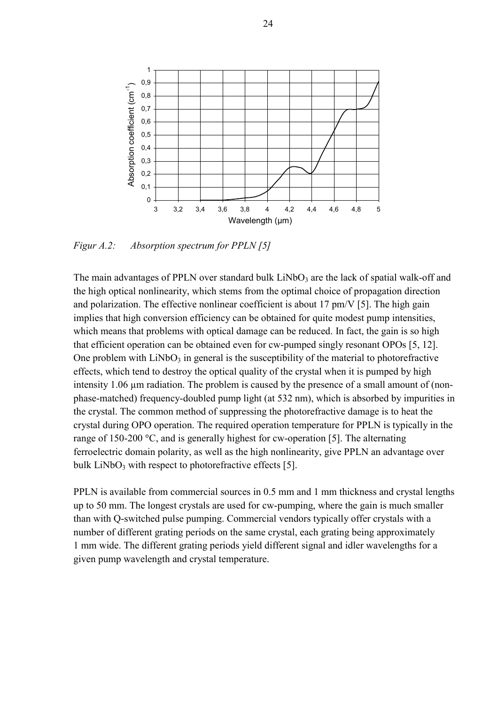

*Figur A.2: Absorption spectrum for PPLN [5]*

The main advantages of PPLN over standard bulk  $LiNbO<sub>3</sub>$  are the lack of spatial walk-off and the high optical nonlinearity, which stems from the optimal choice of propagation direction and polarization. The effective nonlinear coefficient is about 17 pm/V [5]. The high gain implies that high conversion efficiency can be obtained for quite modest pump intensities, which means that problems with optical damage can be reduced. In fact, the gain is so high that efficient operation can be obtained even for cw-pumped singly resonant OPOs [5, 12]. One problem with  $LiNbO<sub>3</sub>$  in general is the susceptibility of the material to photorefractive effects, which tend to destroy the optical quality of the crystal when it is pumped by high intensity 1.06 µm radiation. The problem is caused by the presence of a small amount of (nonphase-matched) frequency-doubled pump light (at 532 nm), which is absorbed by impurities in the crystal. The common method of suppressing the photorefractive damage is to heat the crystal during OPO operation. The required operation temperature for PPLN is typically in the range of 150-200 °C, and is generally highest for cw-operation [5]. The alternating ferroelectric domain polarity, as well as the high nonlinearity, give PPLN an advantage over bulk  $LiNbO<sub>3</sub>$  with respect to photorefractive effects [5].

PPLN is available from commercial sources in 0.5 mm and 1 mm thickness and crystal lengths up to 50 mm. The longest crystals are used for cw-pumping, where the gain is much smaller than with Q-switched pulse pumping. Commercial vendors typically offer crystals with a number of different grating periods on the same crystal, each grating being approximately 1 mm wide. The different grating periods yield different signal and idler wavelengths for a given pump wavelength and crystal temperature.